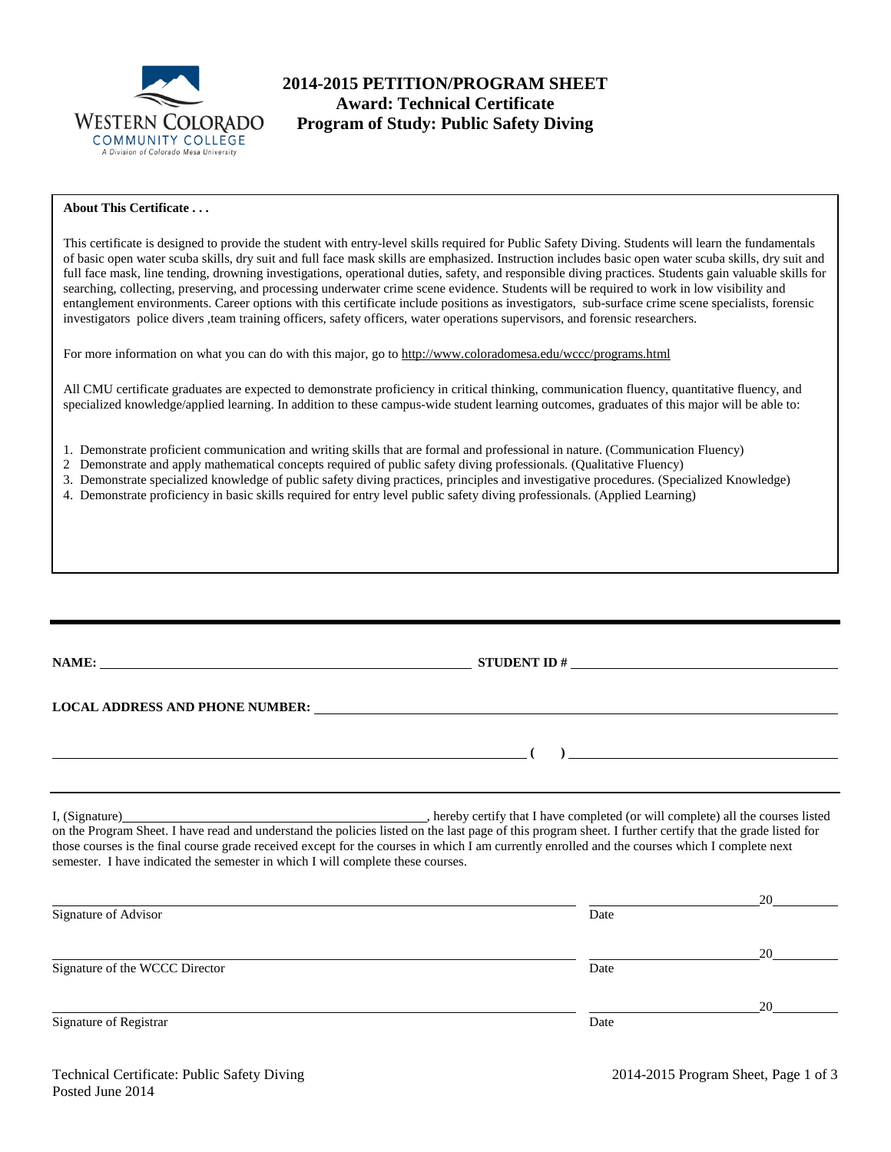

# **2014-2015 PETITION/PROGRAM SHEET Award: Technical Certificate Program of Study: Public Safety Diving**

## **About This Certificate . . .**

This certificate is designed to provide the student with entry-level skills required for Public Safety Diving. Students will learn the fundamentals of basic open water scuba skills, dry suit and full face mask skills are emphasized. Instruction includes basic open water scuba skills, dry suit and full face mask, line tending, drowning investigations, operational duties, safety, and responsible diving practices. Students gain valuable skills for searching, collecting, preserving, and processing underwater crime scene evidence. Students will be required to work in low visibility and entanglement environments. Career options with this certificate include positions as investigators, sub-surface crime scene specialists, forensic investigators police divers ,team training officers, safety officers, water operations supervisors, and forensic researchers.

For more information on what you can do with this major, go to http://www.coloradomesa.edu/wccc/programs.html

All CMU certificate graduates are expected to demonstrate proficiency in critical thinking, communication fluency, quantitative fluency, and specialized knowledge/applied learning. In addition to these campus-wide student learning outcomes, graduates of this major will be able to:

- 1. Demonstrate proficient communication and writing skills that are formal and professional in nature. (Communication Fluency)
- 2 Demonstrate and apply mathematical concepts required of public safety diving professionals. (Qualitative Fluency)
- 3. Demonstrate specialized knowledge of public safety diving practices, principles and investigative procedures. (Specialized Knowledge)
- 4. Demonstrate proficiency in basic skills required for entry level public safety diving professionals. (Applied Learning)

| STUDENT ID # $\qquad \qquad$                                                                                                                                                                                                               |
|--------------------------------------------------------------------------------------------------------------------------------------------------------------------------------------------------------------------------------------------|
|                                                                                                                                                                                                                                            |
| LOCAL ADDRESS AND PHONE NUMBER: The material contract of the state of the state of the state of the state of the state of the state of the state of the state of the state of the state of the state of the state of the state             |
| $\overline{\phantom{a}}$ (b) and the set of the set of the set of the set of the set of the set of the set of the set of the set of the set of the set of the set of the set of the set of the set of the set of the set of the set of the |
|                                                                                                                                                                                                                                            |
| , hereby certify that I have completed (or will complete) all the courses listed                                                                                                                                                           |

on the Program Sheet. I have read and understand the policies listed on the last page of this program sheet. I further certify that the grade listed for those courses is the final course grade received except for the courses in which I am currently enrolled and the courses which I complete next semester. I have indicated the semester in which I will complete these courses.

|                                |      | 20 |
|--------------------------------|------|----|
| Signature of Advisor           | Date |    |
|                                |      | 20 |
| Signature of the WCCC Director | Date |    |
|                                |      | 20 |
| Signature of Registrar         | Date |    |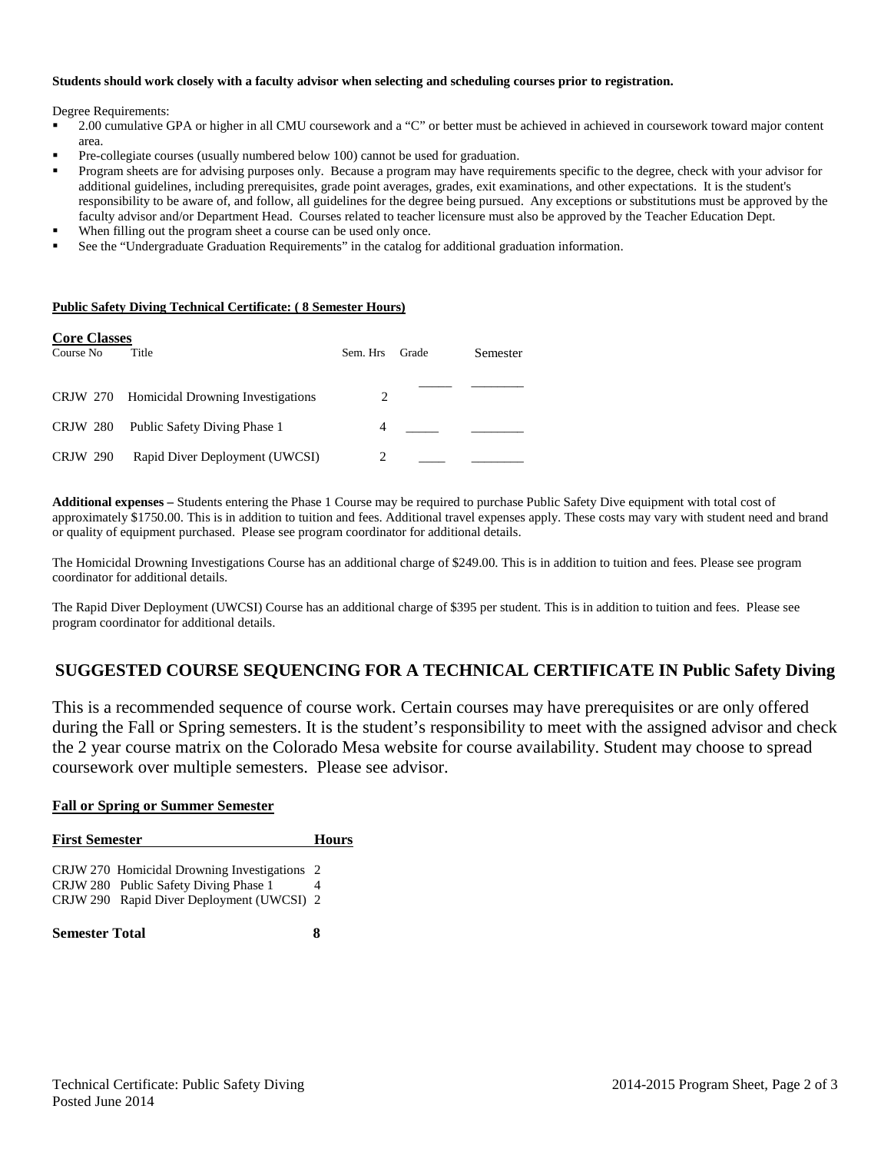#### **Students should work closely with a faculty advisor when selecting and scheduling courses prior to registration.**

Degree Requirements:

- 2.00 cumulative GPA or higher in all CMU coursework and a "C" or better must be achieved in achieved in coursework toward major content area.
- Pre-collegiate courses (usually numbered below 100) cannot be used for graduation.
- Program sheets are for advising purposes only. Because a program may have requirements specific to the degree, check with your advisor for additional guidelines, including prerequisites, grade point averages, grades, exit examinations, and other expectations. It is the student's responsibility to be aware of, and follow, all guidelines for the degree being pursued. Any exceptions or substitutions must be approved by the faculty advisor and/or Department Head. Courses related to teacher licensure must also be approved by the Teacher Education Dept.
- When filling out the program sheet a course can be used only once.
- See the "Undergraduate Graduation Requirements" in the catalog for additional graduation information.

#### **Public Safety Diving Technical Certificate: ( 8 Semester Hours)**

| <b>Core Classes</b><br>Course No | Title                                      | Sem. Hrs | Grade | Semester |
|----------------------------------|--------------------------------------------|----------|-------|----------|
|                                  | CRJW 270 Homicidal Drowning Investigations | 2        |       |          |
| <b>CRJW 280</b>                  | Public Safety Diving Phase 1               | 4        |       |          |
| <b>CRJW 290</b>                  | Rapid Diver Deployment (UWCSI)             | 2        |       |          |

**Additional expenses –** Students entering the Phase 1 Course may be required to purchase Public Safety Dive equipment with total cost of approximately \$1750.00. This is in addition to tuition and fees. Additional travel expenses apply. These costs may vary with student need and brand or quality of equipment purchased. Please see program coordinator for additional details.

The Homicidal Drowning Investigations Course has an additional charge of \$249.00. This is in addition to tuition and fees. Please see program coordinator for additional details.

The Rapid Diver Deployment (UWCSI) Course has an additional charge of \$395 per student. This is in addition to tuition and fees. Please see program coordinator for additional details.

# **SUGGESTED COURSE SEQUENCING FOR A TECHNICAL CERTIFICATE IN Public Safety Diving**

This is a recommended sequence of course work. Certain courses may have prerequisites or are only offered during the Fall or Spring semesters. It is the student's responsibility to meet with the assigned advisor and check the 2 year course matrix on the Colorado Mesa website for course availability. Student may choose to spread coursework over multiple semesters. Please see advisor.

#### **Fall or Spring or Summer Semester**

| <b>First Semester</b>                                                                 | <b>Hours</b> |  |
|---------------------------------------------------------------------------------------|--------------|--|
| CRJW 270 Homicidal Drowning Investigations 2<br>CRJW 280 Public Safety Diving Phase 1 |              |  |
| CRJW 290 Rapid Diver Deployment (UWCSI) 2                                             |              |  |
| <b>Semester Total</b>                                                                 |              |  |